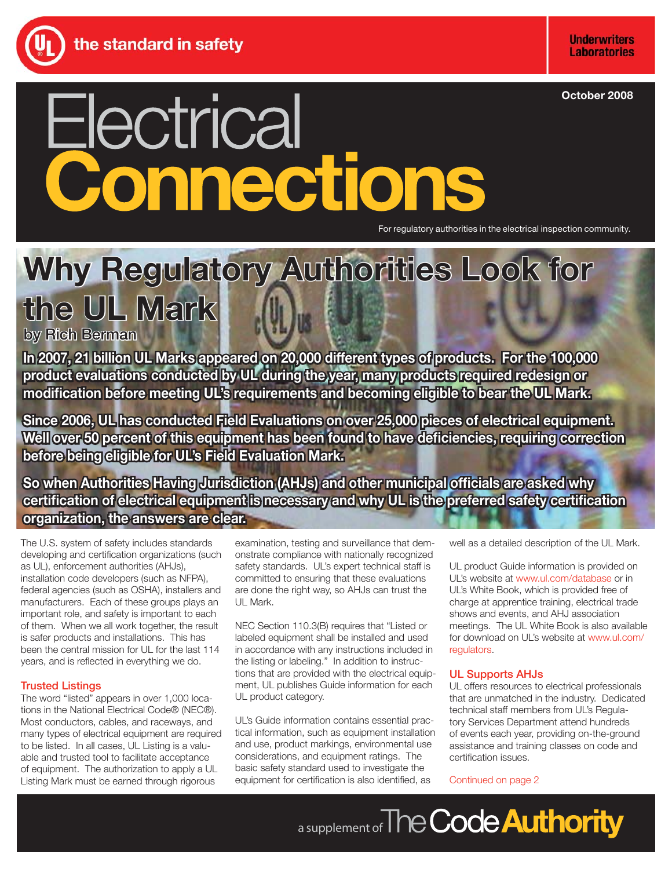**October 2008**

# Electrical Connections

For regulatory authorities in the electrical inspection community.

# Why Regulatory Authorities Look for **the UL Mark**

by Rich Berman

In 2007, 21 billion UL Marks appeared on 20,000 different types of products. For the 100,000 product evaluations conducted by UL during the year, many products required redesign or modification before meeting UL's requirements and becoming eligible to bear the UL Mark.

**Since 2006, UL has conducted Field Evaluations on over 25,000 pieces of electrical equipment. Well over 50 percent of this equipment has been found to have deficiencies, requiring correction before being eligible for UL's Field Evaluation Mark.** 

**So when Authorities Having Jurisdiction (AHJs) and other municipal officials are asked why** certification of electrical equipment is necessary and why UL is the preferred safety certification **organization, the answers are clear.** 

The U.S. system of safety includes standards developing and certification organizations (such as UL), enforcement authorities (AHJs), installation code developers (such as NFPA), federal agencies (such as OSHA), installers and manufacturers. Each of these groups plays an important role, and safety is important to each of them. When we all work together, the result is safer products and installations. This has been the central mission for UL for the last 114 years, and is reflected in everything we do.

# Trusted Listings

The word "listed" appears in over 1,000 locations in the National Electrical Code® (NEC®). Most conductors, cables, and raceways, and many types of electrical equipment are required to be listed. In all cases, UL Listing is a valuable and trusted tool to facilitate acceptance of equipment. The authorization to apply a UL Listing Mark must be earned through rigorous

examination, testing and surveillance that demonstrate compliance with nationally recognized safety standards. UL's expert technical staff is committed to ensuring that these evaluations are done the right way, so AHJs can trust the UL Mark.

NEC Section 110.3(B) requires that "Listed or labeled equipment shall be installed and used in accordance with any instructions included in the listing or labeling." In addition to instructions that are provided with the electrical equipment, UL publishes Guide information for each UL product category.

UL's Guide information contains essential practical information, such as equipment installation and use, product markings, environmental use considerations, and equipment ratings. The basic safety standard used to investigate the equipment for certification is also identified, as

well as a detailed description of the UL Mark.

UL product Guide information is provided on UL's website at<www.ul.com/database>or in UL's White Book, which is provided free of charge at apprentice training, electrical trade shows and events, and AHJ association meetings. The UL White Book is also available for download on UL's website at [www.ul.com/](www.ul.com/regulators) [regulators.](www.ul.com/regulators) 

# UL Supports AHJs

UL offers resources to electrical professionals that are unmatched in the industry. Dedicated technical staff members from UL's Regulatory Services Department attend hundreds of events each year, providing on-the-ground assistance and training classes on code and certification issues.

# Continued on page 2

a supplement of The Code **Authority**